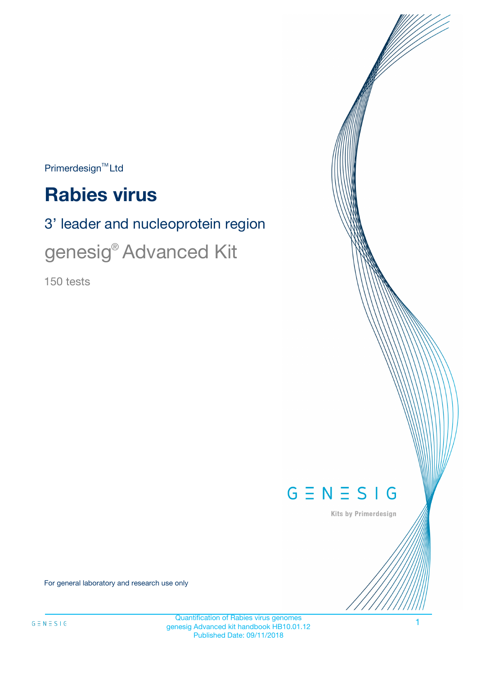$Primerdesign^{\text{TM}}Ltd$ 

# **Rabies virus**

# 3' leader and nucleoprotein region

genesig® Advanced Kit

150 tests



Kits by Primerdesign

For general laboratory and research use only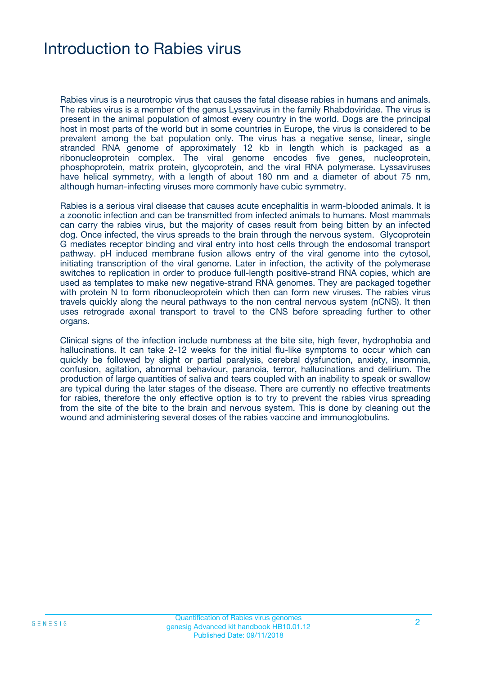### Introduction to Rabies virus

Rabies virus is a neurotropic virus that causes the fatal disease rabies in humans and animals. The rabies virus is a member of the genus Lyssavirus in the family Rhabdoviridae. The virus is present in the animal population of almost every country in the world. Dogs are the principal host in most parts of the world but in some countries in Europe, the virus is considered to be prevalent among the bat population only. The virus has a negative sense, linear, single stranded RNA genome of approximately 12 kb in length which is packaged as a ribonucleoprotein complex. The viral genome encodes five genes, nucleoprotein, phosphoprotein, matrix protein, glycoprotein, and the viral RNA polymerase. Lyssaviruses have helical symmetry, with a length of about 180 nm and a diameter of about 75 nm, although human-infecting viruses more commonly have cubic symmetry.

Rabies is a serious viral disease that causes acute encephalitis in warm-blooded animals. It is a zoonotic infection and can be transmitted from infected animals to humans. Most mammals can carry the rabies virus, but the majority of cases result from being bitten by an infected dog. Once infected, the virus spreads to the brain through the nervous system. Glycoprotein G mediates receptor binding and viral entry into host cells through the endosomal transport pathway. pH induced membrane fusion allows entry of the viral genome into the cytosol, initiating transcription of the viral genome. Later in infection, the activity of the polymerase switches to replication in order to produce full-length positive-strand RNA copies, which are used as templates to make new negative-strand RNA genomes. They are packaged together with protein N to form ribonucleoprotein which then can form new viruses. The rabies virus travels quickly along the neural pathways to the non central nervous system (nCNS). It then uses retrograde axonal transport to travel to the CNS before spreading further to other organs.

Clinical signs of the infection include numbness at the bite site, high fever, hydrophobia and hallucinations. It can take 2-12 weeks for the initial flu-like symptoms to occur which can quickly be followed by slight or partial paralysis, cerebral dysfunction, anxiety, insomnia, confusion, agitation, abnormal behaviour, paranoia, terror, hallucinations and delirium. The production of large quantities of saliva and tears coupled with an inability to speak or swallow are typical during the later stages of the disease. There are currently no effective treatments for rabies, therefore the only effective option is to try to prevent the rabies virus spreading from the site of the bite to the brain and nervous system. This is done by cleaning out the wound and administering several doses of the rabies vaccine and immunoglobulins.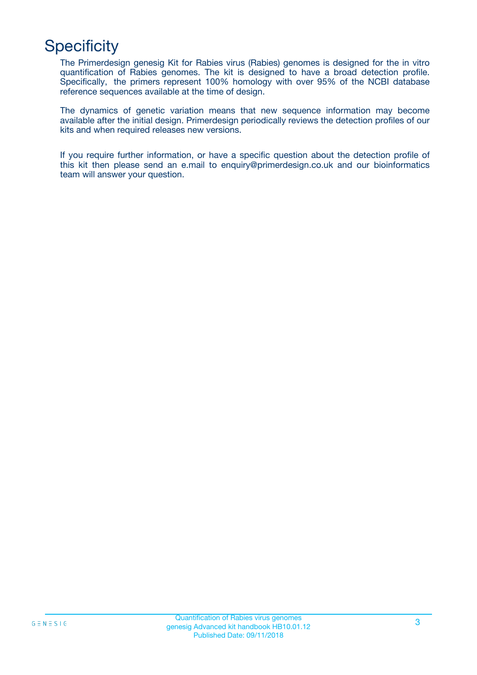## **Specificity**

The Primerdesign genesig Kit for Rabies virus (Rabies) genomes is designed for the in vitro quantification of Rabies genomes. The kit is designed to have a broad detection profile. Specifically, the primers represent 100% homology with over 95% of the NCBI database reference sequences available at the time of design.

The dynamics of genetic variation means that new sequence information may become available after the initial design. Primerdesign periodically reviews the detection profiles of our kits and when required releases new versions.

If you require further information, or have a specific question about the detection profile of this kit then please send an e.mail to enquiry@primerdesign.co.uk and our bioinformatics team will answer your question.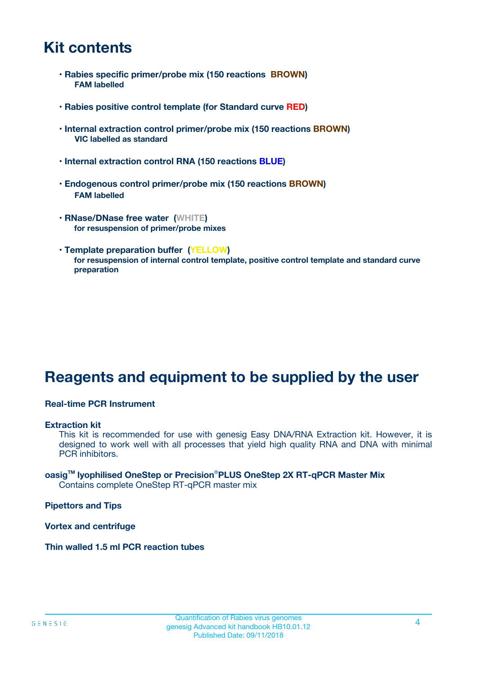### **Kit contents**

- **Rabies specific primer/probe mix (150 reactions BROWN) FAM labelled**
- **Rabies positive control template (for Standard curve RED)**
- **Internal extraction control primer/probe mix (150 reactions BROWN) VIC labelled as standard**
- **Internal extraction control RNA (150 reactions BLUE)**
- **Endogenous control primer/probe mix (150 reactions BROWN) FAM labelled**
- **RNase/DNase free water (WHITE) for resuspension of primer/probe mixes**
- **Template preparation buffer (YELLOW) for resuspension of internal control template, positive control template and standard curve preparation**

### **Reagents and equipment to be supplied by the user**

#### **Real-time PCR Instrument**

#### **Extraction kit**

This kit is recommended for use with genesig Easy DNA/RNA Extraction kit. However, it is designed to work well with all processes that yield high quality RNA and DNA with minimal PCR inhibitors.

#### **oasigTM lyophilised OneStep or Precision**®**PLUS OneStep 2X RT-qPCR Master Mix** Contains complete OneStep RT-qPCR master mix

**Pipettors and Tips**

**Vortex and centrifuge**

**Thin walled 1.5 ml PCR reaction tubes**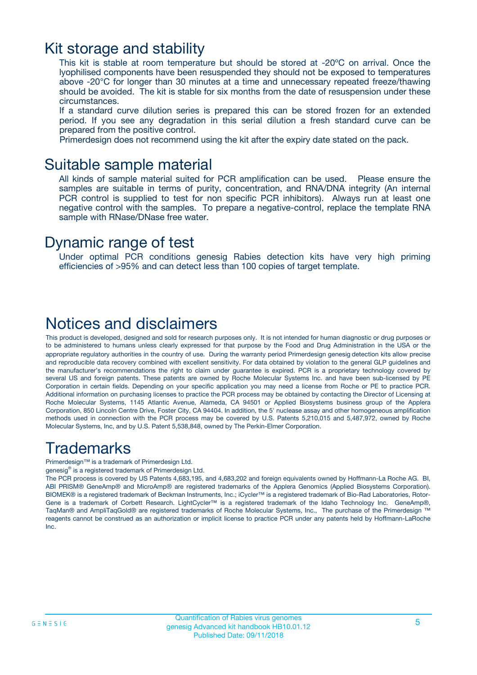### Kit storage and stability

This kit is stable at room temperature but should be stored at -20ºC on arrival. Once the lyophilised components have been resuspended they should not be exposed to temperatures above -20°C for longer than 30 minutes at a time and unnecessary repeated freeze/thawing should be avoided. The kit is stable for six months from the date of resuspension under these circumstances.

If a standard curve dilution series is prepared this can be stored frozen for an extended period. If you see any degradation in this serial dilution a fresh standard curve can be prepared from the positive control.

Primerdesign does not recommend using the kit after the expiry date stated on the pack.

### Suitable sample material

All kinds of sample material suited for PCR amplification can be used. Please ensure the samples are suitable in terms of purity, concentration, and RNA/DNA integrity (An internal PCR control is supplied to test for non specific PCR inhibitors). Always run at least one negative control with the samples. To prepare a negative-control, replace the template RNA sample with RNase/DNase free water.

### Dynamic range of test

Under optimal PCR conditions genesig Rabies detection kits have very high priming efficiencies of >95% and can detect less than 100 copies of target template.

### Notices and disclaimers

This product is developed, designed and sold for research purposes only. It is not intended for human diagnostic or drug purposes or to be administered to humans unless clearly expressed for that purpose by the Food and Drug Administration in the USA or the appropriate regulatory authorities in the country of use. During the warranty period Primerdesign genesig detection kits allow precise and reproducible data recovery combined with excellent sensitivity. For data obtained by violation to the general GLP guidelines and the manufacturer's recommendations the right to claim under guarantee is expired. PCR is a proprietary technology covered by several US and foreign patents. These patents are owned by Roche Molecular Systems Inc. and have been sub-licensed by PE Corporation in certain fields. Depending on your specific application you may need a license from Roche or PE to practice PCR. Additional information on purchasing licenses to practice the PCR process may be obtained by contacting the Director of Licensing at Roche Molecular Systems, 1145 Atlantic Avenue, Alameda, CA 94501 or Applied Biosystems business group of the Applera Corporation, 850 Lincoln Centre Drive, Foster City, CA 94404. In addition, the 5' nuclease assay and other homogeneous amplification methods used in connection with the PCR process may be covered by U.S. Patents 5,210,015 and 5,487,972, owned by Roche Molecular Systems, Inc, and by U.S. Patent 5,538,848, owned by The Perkin-Elmer Corporation.

### Trademarks

Primerdesign™ is a trademark of Primerdesign Ltd.

genesig® is a registered trademark of Primerdesign Ltd.

The PCR process is covered by US Patents 4,683,195, and 4,683,202 and foreign equivalents owned by Hoffmann-La Roche AG. BI, ABI PRISM® GeneAmp® and MicroAmp® are registered trademarks of the Applera Genomics (Applied Biosystems Corporation). BIOMEK® is a registered trademark of Beckman Instruments, Inc.; iCycler™ is a registered trademark of Bio-Rad Laboratories, Rotor-Gene is a trademark of Corbett Research. LightCycler™ is a registered trademark of the Idaho Technology Inc. GeneAmp®, TaqMan® and AmpliTaqGold® are registered trademarks of Roche Molecular Systems, Inc., The purchase of the Primerdesign ™ reagents cannot be construed as an authorization or implicit license to practice PCR under any patents held by Hoffmann-LaRoche Inc.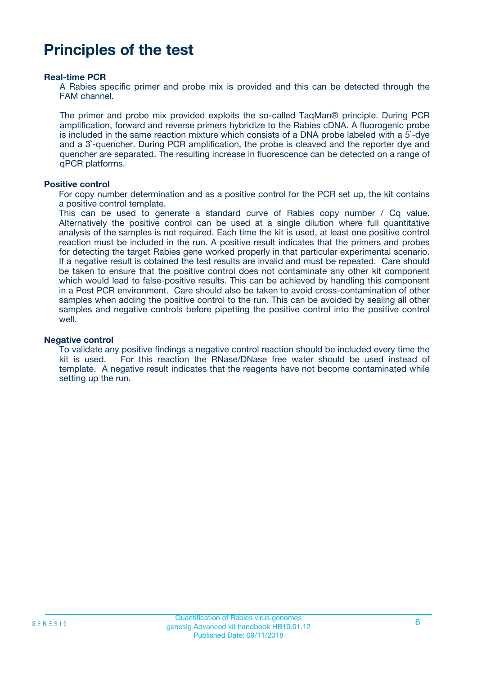### **Principles of the test**

#### **Real-time PCR**

A Rabies specific primer and probe mix is provided and this can be detected through the FAM channel.

The primer and probe mix provided exploits the so-called TaqMan® principle. During PCR amplification, forward and reverse primers hybridize to the Rabies cDNA. A fluorogenic probe is included in the same reaction mixture which consists of a DNA probe labeled with a 5`-dye and a 3`-quencher. During PCR amplification, the probe is cleaved and the reporter dye and quencher are separated. The resulting increase in fluorescence can be detected on a range of qPCR platforms.

#### **Positive control**

For copy number determination and as a positive control for the PCR set up, the kit contains a positive control template.

This can be used to generate a standard curve of Rabies copy number / Cq value. Alternatively the positive control can be used at a single dilution where full quantitative analysis of the samples is not required. Each time the kit is used, at least one positive control reaction must be included in the run. A positive result indicates that the primers and probes for detecting the target Rabies gene worked properly in that particular experimental scenario. If a negative result is obtained the test results are invalid and must be repeated. Care should be taken to ensure that the positive control does not contaminate any other kit component which would lead to false-positive results. This can be achieved by handling this component in a Post PCR environment. Care should also be taken to avoid cross-contamination of other samples when adding the positive control to the run. This can be avoided by sealing all other samples and negative controls before pipetting the positive control into the positive control well.

#### **Negative control**

To validate any positive findings a negative control reaction should be included every time the kit is used. For this reaction the RNase/DNase free water should be used instead of template. A negative result indicates that the reagents have not become contaminated while setting up the run.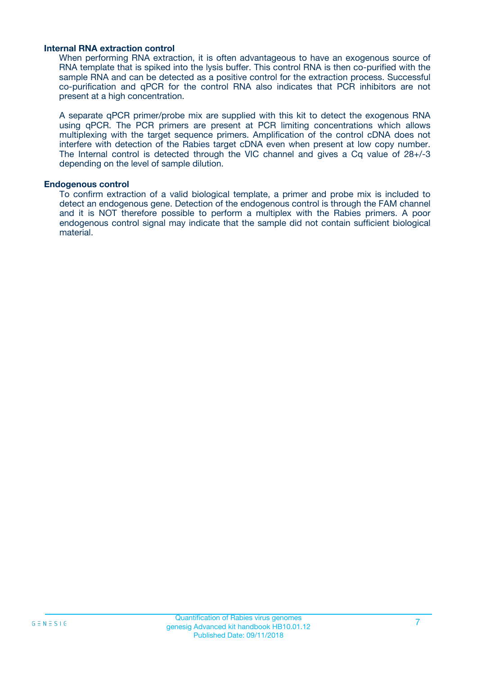#### **Internal RNA extraction control**

When performing RNA extraction, it is often advantageous to have an exogenous source of RNA template that is spiked into the lysis buffer. This control RNA is then co-purified with the sample RNA and can be detected as a positive control for the extraction process. Successful co-purification and qPCR for the control RNA also indicates that PCR inhibitors are not present at a high concentration.

A separate qPCR primer/probe mix are supplied with this kit to detect the exogenous RNA using qPCR. The PCR primers are present at PCR limiting concentrations which allows multiplexing with the target sequence primers. Amplification of the control cDNA does not interfere with detection of the Rabies target cDNA even when present at low copy number. The Internal control is detected through the VIC channel and gives a Cq value of 28+/-3 depending on the level of sample dilution.

#### **Endogenous control**

To confirm extraction of a valid biological template, a primer and probe mix is included to detect an endogenous gene. Detection of the endogenous control is through the FAM channel and it is NOT therefore possible to perform a multiplex with the Rabies primers. A poor endogenous control signal may indicate that the sample did not contain sufficient biological material.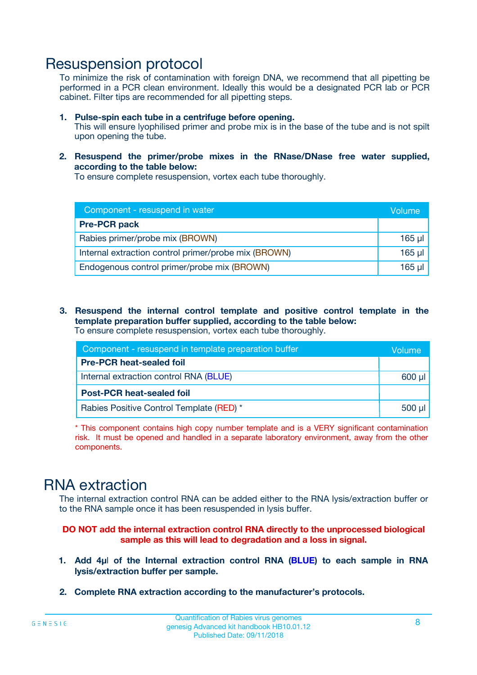### Resuspension protocol

To minimize the risk of contamination with foreign DNA, we recommend that all pipetting be performed in a PCR clean environment. Ideally this would be a designated PCR lab or PCR cabinet. Filter tips are recommended for all pipetting steps.

- **1. Pulse-spin each tube in a centrifuge before opening.** This will ensure lyophilised primer and probe mix is in the base of the tube and is not spilt upon opening the tube.
- **2. Resuspend the primer/probe mixes in the RNase/DNase free water supplied, according to the table below:**

To ensure complete resuspension, vortex each tube thoroughly.

| Component - resuspend in water                       |          |  |
|------------------------------------------------------|----------|--|
| <b>Pre-PCR pack</b>                                  |          |  |
| Rabies primer/probe mix (BROWN)                      | $165$ µl |  |
| Internal extraction control primer/probe mix (BROWN) | $165$ µl |  |
| Endogenous control primer/probe mix (BROWN)          | 165 µl   |  |

**3. Resuspend the internal control template and positive control template in the template preparation buffer supplied, according to the table below:** To ensure complete resuspension, vortex each tube thoroughly.

| Component - resuspend in template preparation buffer |  |  |  |
|------------------------------------------------------|--|--|--|
| <b>Pre-PCR heat-sealed foil</b>                      |  |  |  |
| Internal extraction control RNA (BLUE)               |  |  |  |
| <b>Post-PCR heat-sealed foil</b>                     |  |  |  |
| Rabies Positive Control Template (RED) *             |  |  |  |

\* This component contains high copy number template and is a VERY significant contamination risk. It must be opened and handled in a separate laboratory environment, away from the other components.

### RNA extraction

The internal extraction control RNA can be added either to the RNA lysis/extraction buffer or to the RNA sample once it has been resuspended in lysis buffer.

#### **DO NOT add the internal extraction control RNA directly to the unprocessed biological sample as this will lead to degradation and a loss in signal.**

- **1. Add 4µ**l **of the Internal extraction control RNA (BLUE) to each sample in RNA lysis/extraction buffer per sample.**
- **2. Complete RNA extraction according to the manufacturer's protocols.**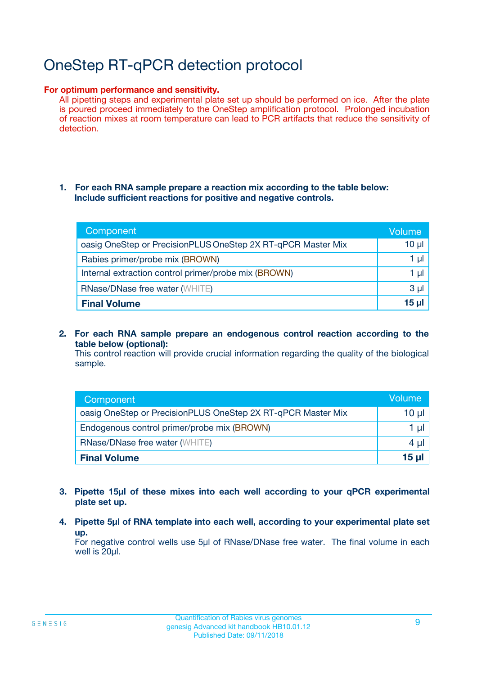# OneStep RT-qPCR detection protocol

#### **For optimum performance and sensitivity.**

All pipetting steps and experimental plate set up should be performed on ice. After the plate is poured proceed immediately to the OneStep amplification protocol. Prolonged incubation of reaction mixes at room temperature can lead to PCR artifacts that reduce the sensitivity of detection.

#### **1. For each RNA sample prepare a reaction mix according to the table below: Include sufficient reactions for positive and negative controls.**

| Component                                                    | <b>Volume</b> |
|--------------------------------------------------------------|---------------|
| oasig OneStep or PrecisionPLUS OneStep 2X RT-qPCR Master Mix | $10 \mu$      |
| Rabies primer/probe mix (BROWN)                              | 1 µI          |
| Internal extraction control primer/probe mix (BROWN)         | 1 µl          |
| <b>RNase/DNase free water (WHITE)</b>                        | $3 \mu$       |
| <b>Final Volume</b>                                          | 15 µl         |

**2. For each RNA sample prepare an endogenous control reaction according to the table below (optional):**

This control reaction will provide crucial information regarding the quality of the biological sample.

| Component                                                    | Volume          |
|--------------------------------------------------------------|-----------------|
| oasig OneStep or PrecisionPLUS OneStep 2X RT-qPCR Master Mix | 10 µl           |
| Endogenous control primer/probe mix (BROWN)                  | 1 ul            |
| <b>RNase/DNase free water (WHITE)</b>                        | $4 \mu$         |
| <b>Final Volume</b>                                          | 15 <sub>µ</sub> |

- **3. Pipette 15µl of these mixes into each well according to your qPCR experimental plate set up.**
- **4. Pipette 5µl of RNA template into each well, according to your experimental plate set up.**

For negative control wells use 5µl of RNase/DNase free water. The final volume in each well is 20µl.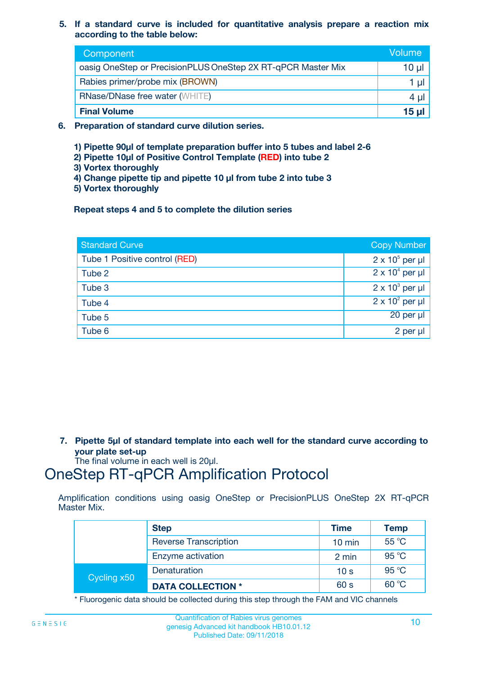**5. If a standard curve is included for quantitative analysis prepare a reaction mix according to the table below:**

| Component                                                    | Volume       |
|--------------------------------------------------------------|--------------|
| oasig OneStep or PrecisionPLUS OneStep 2X RT-qPCR Master Mix | $10 \mu$     |
| Rabies primer/probe mix (BROWN)                              |              |
| <b>RNase/DNase free water (WHITE)</b>                        | 4 µ          |
| <b>Final Volume</b>                                          | <u>15 µl</u> |

- **6. Preparation of standard curve dilution series.**
	- **1) Pipette 90µl of template preparation buffer into 5 tubes and label 2-6**
	- **2) Pipette 10µl of Positive Control Template (RED) into tube 2**
	- **3) Vortex thoroughly**
	- **4) Change pipette tip and pipette 10 µl from tube 2 into tube 3**
	- **5) Vortex thoroughly**

**Repeat steps 4 and 5 to complete the dilution series**

| <b>Standard Curve</b>         | <b>Copy Number</b>     |
|-------------------------------|------------------------|
| Tube 1 Positive control (RED) | $2 \times 10^5$ per µl |
| Tube 2                        | $2 \times 10^4$ per µl |
| Tube 3                        | $2 \times 10^3$ per µl |
| Tube 4                        | $2 \times 10^2$ per µl |
| Tube 5                        | $20$ per $\mu$         |
| Tube 6                        | $2$ per $\mu$          |

**7. Pipette 5µl of standard template into each well for the standard curve according to your plate set-up**

The final volume in each well is 20µl.

### OneStep RT-qPCR Amplification Protocol

Amplification conditions using oasig OneStep or PrecisionPLUS OneStep 2X RT-qPCR Master Mix.

|             | <b>Step</b>                  | <b>Time</b>      | <b>Temp</b> |
|-------------|------------------------------|------------------|-------------|
|             | <b>Reverse Transcription</b> | $10 \text{ min}$ | 55 °C       |
|             | Enzyme activation            | 2 min            | 95 °C       |
| Cycling x50 | Denaturation                 | 10 <sub>s</sub>  | 95 °C       |
|             | <b>DATA COLLECTION *</b>     | 60 s             | 60 °C       |

\* Fluorogenic data should be collected during this step through the FAM and VIC channels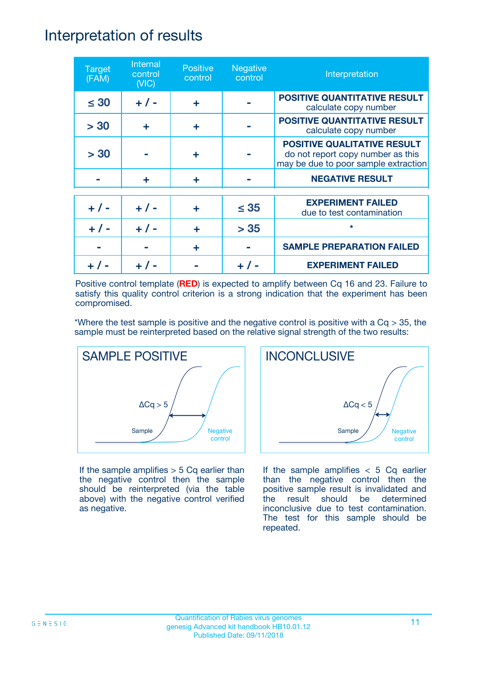### Interpretation of results

| <b>Target</b><br>(FAM) | Internal<br>control<br>(NIC) | <b>Positive</b><br>control | <b>Negative</b><br>control | Interpretation                                                                                                  |
|------------------------|------------------------------|----------------------------|----------------------------|-----------------------------------------------------------------------------------------------------------------|
| $\leq 30$              | $+ 1 -$                      | ÷                          |                            | <b>POSITIVE QUANTITATIVE RESULT</b><br>calculate copy number                                                    |
| > 30                   | ÷                            | ÷                          |                            | <b>POSITIVE QUANTITATIVE RESULT</b><br>calculate copy number                                                    |
| > 30                   |                              | ÷                          |                            | <b>POSITIVE QUALITATIVE RESULT</b><br>do not report copy number as this<br>may be due to poor sample extraction |
|                        | ÷                            | ÷                          |                            | <b>NEGATIVE RESULT</b>                                                                                          |
| $+ 1 -$                | $+ 1 -$                      | ÷                          | $\leq$ 35                  | <b>EXPERIMENT FAILED</b><br>due to test contamination                                                           |
|                        | $+$ / -                      |                            | > 35                       | $\star$                                                                                                         |
|                        |                              | ÷                          |                            | <b>SAMPLE PREPARATION FAILED</b>                                                                                |
|                        |                              |                            |                            | <b>EXPERIMENT FAILED</b>                                                                                        |

Positive control template (**RED**) is expected to amplify between Cq 16 and 23. Failure to satisfy this quality control criterion is a strong indication that the experiment has been compromised.

\*Where the test sample is positive and the negative control is positive with a  $Cq > 35$ , the sample must be reinterpreted based on the relative signal strength of the two results:



If the sample amplifies  $> 5$  Cq earlier than the negative control then the sample should be reinterpreted (via the table above) with the negative control verified as negative.



If the sample amplifies  $< 5$  Cq earlier than the negative control then the positive sample result is invalidated and the result should be determined inconclusive due to test contamination. The test for this sample should be repeated.